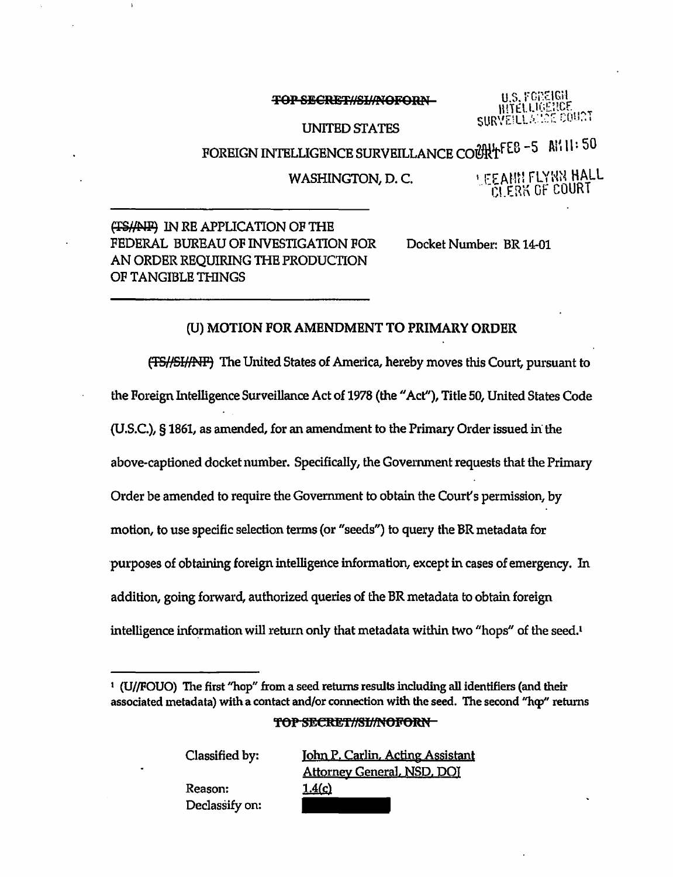TOP SECRET//SI/NOFORN U.S. FOREIGH<br>HITELLIGEREE<br>TINITED STATES : SURVEILLANDE OURT

# UNITED STATES

FOREIGN INTELLIGENCE SURVEILLANCE COURT FEB -5 AI 11: 50

WASHINGTON, D. C. **INTERNAL-INGLISHED AL-ITE AL-ITE ALL** 

# *(Tal/P11P)* IN RE APPLICATION OF THE FEDERAL BUREAU OF INVESTIGATION FOR AN ORDER REQUIRING THE PRODUCTION OF TANGIBLE THINGS

Docket Number: BR 14-01

## (U) MOTION FOR AMENDMENT TO PRIMARY ORDER

(TS//SI//NF) The United States of America, hereby moves this Court, pursuant to the Foreign Intelligence Surveillance Act of 1978 (the ''Act"), Title 50, United States Code (U.S.C.), § 1861, as amended, for an amendment to the Primary Order issued in the above-captioned docket number. Specifically, the Government requests that the Primary Order be amended to require the Government to obtain the Court's permission, by motion, to use specific selection terms (or "seeds") to query the BR metadata for purposes of obtaining foreign intelligence information, except in cases of emergency. In addition, going forward, authorized queries of the BR metadata to obtain foreign intelligence information will return only that metadata within two "hops" of the seed. $t$ 

## TOP SECRET//SL/NOFORN

Classified by:

Reason: Declassify on: John P. Carlin. Acting Assistant Attorney General, NSD. DOI  $1.4(c)$ 

 $1$  (U//FOUO) The first "hop" from a seed returns results including all identifiers (and their associated metadata) with a contact and/or connection with the seed. The second "hop" returns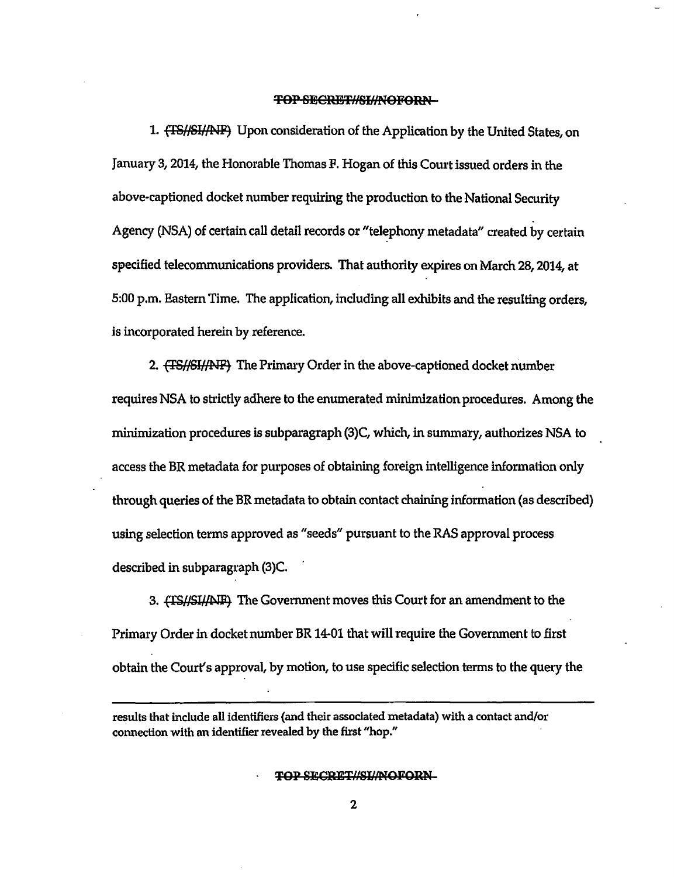1. (TS//SI//NF) Upon consideration of the Application by the United States, on January 3, 2014, the Honorable Thomas F. Hogan of this Court issued orders in the above-captioned docket number requiring the production to the National Security Agency (NSA) of certain call detail records or "telephony metadata" created by certain specified telecommunications providers. That authority expires on March 28, 2014, at 5:00 p.m. Eastern Time. The application, including all exhibits and the resulting orders, is incorporated herein by reference.

2. <del>(TS//SI//NF)</del> The Primary Order in the above-captioned docket number requires NSA to strictly adhere to the enumerated minimization procedures. Among the minimization procedures is subparagraph (3)C, which, in summary, authorizes NSA to access the BR metadata for purposes of obtaining foreign intelligence information only through queries of the BR metadata to obtain contact chaining information (as described) using selection terms approved as "seeds" pursuant to the RAS approval process described in subparagraph (3)C. ·

3. **(TS//SI//NF)** The Government moves this Court for an amendment to the Primary Order in docket number BR 14-01 that will require the Government to first obtain the Court's approval, by motion, to use specific selection terms to the query the

results that include all identifiers (and their associated metadata) with a contact and/or connection with an identifier revealed by the first "hop."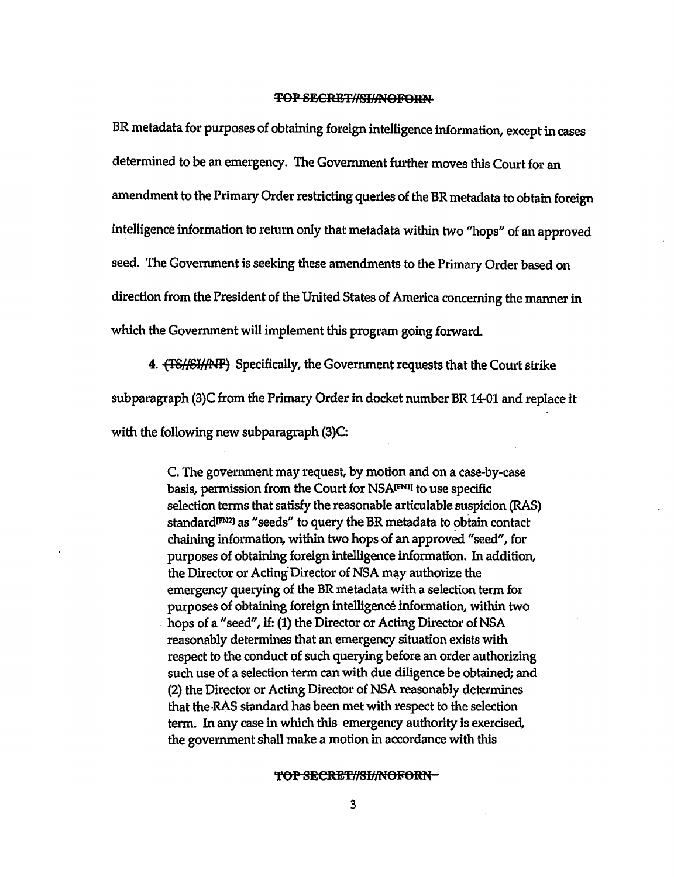BR metadata for purposes of obtaining foreign intelligence information, except in cases determined to be an emergency. The Government further moves this Court for an amendment to the Primary Order restricting queries of the BR metadata to obtain foreign intelligence information to return only that metadata within two "hops" of an approved seed. The Government is seeking these amendments to the Primary Order based on direction from the President of the United States of America concerning the manner in which the Government will implement this program going forward.

4. (TS//SI//NP) Specifically, the Government requests that the Court strike subparagraph (3)C from the Primary Order in docket number BR 14-01 and replace it with the following new subparagraph (3)C:

> C. The government may request, by motion and on a case-by-case basis, permission from the Court for NSA<sup>[FN1]</sup> to use specific selection terms that satisfy the reasonable articulable suspicion (RAS) standard<sup>[FN2]</sup> as "seeds" to query the BR metadata to obtain contact chaining information, within two hops of an approved "seed", for purposes of obtaining foreign intelligence information. In addition, the Director or Acting Director of NSA may authorize the emergency querying of the BR metadata with a selection term for purposes of obtaining foreign intelligence information, within two hops of a "seed", if: (1) the Director or Acting Director of NSA reasonably determines that an emergency situation exists with respect to the conduct of such querying before an order authorizing such use of a selection term can with due diligence be obtained; and (2) the Director or Acting Director of NSA reasonably determines that the RAS standard has been met with respect to the selection term. In any case in which this emergency authority is exercised, the government shall make a motion in accordance with this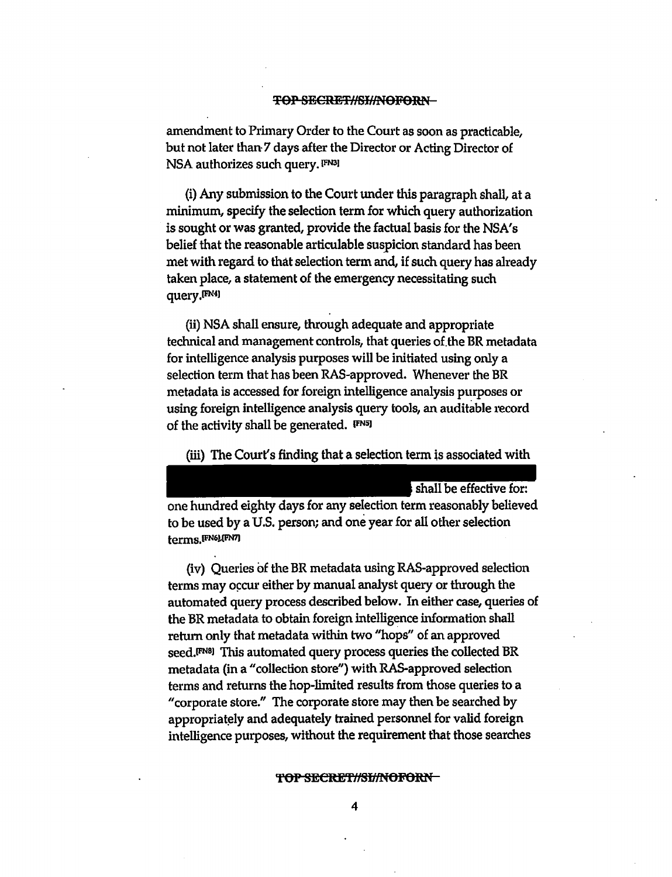amendment to Primary Order to the Court as soon as practicable, but not later than *7* days after the Director or Acting Director of NSA authorizes such query. [FN3]

(i) Any submission to the Court under this paragraph shall, at a minimum, specify the selection term for which query authorization is sought or was granted, provide the factual basis for the NSA's belief that the reasonable articulable suspicion standard has been met with regard to that selection term and, if such query has already taken place, a statement of the emergency necessitating such query.[FN4]

(ii) NSA shall ensure, through adequate and appropriate technical and management controls, that queries of.the BR metadata for intelligence analysis purposes will be initiated using only a selection term that has been RAS-approved. Whenever the BR metadata is accessed for foreign intelligence analysis purposes or using foreign intelligence analysis query tools, an auditable record of the activity shall be generated. IFNSJ

(iii) The Court's finding that a selection term is associated with

shall be effective for: one hundred eighty days for any selection term reasonably believed to be used by a U.S. person; and one year for all other selection terms.lFN6J.[PN'l]

(iv) Queries of the BR metadata using RAS-approved selection terms may occur either by manual analyst query or through the automated query process described below. In either case, queries of the BR metadata to obtain foreign intelligence information shall return only that metadata within two "hops" of an approved seed.<sup>[FN8]</sup> This automated query process queries the collected BR metadata (in a ''collection store") with RAS-approved selection terms and returns the hop-limited results from those queries to a "corporate store." The corporate store may then be searched by appropriately and adequately trained personnel for valid foreign intelligence purposes, without the requirement that those searches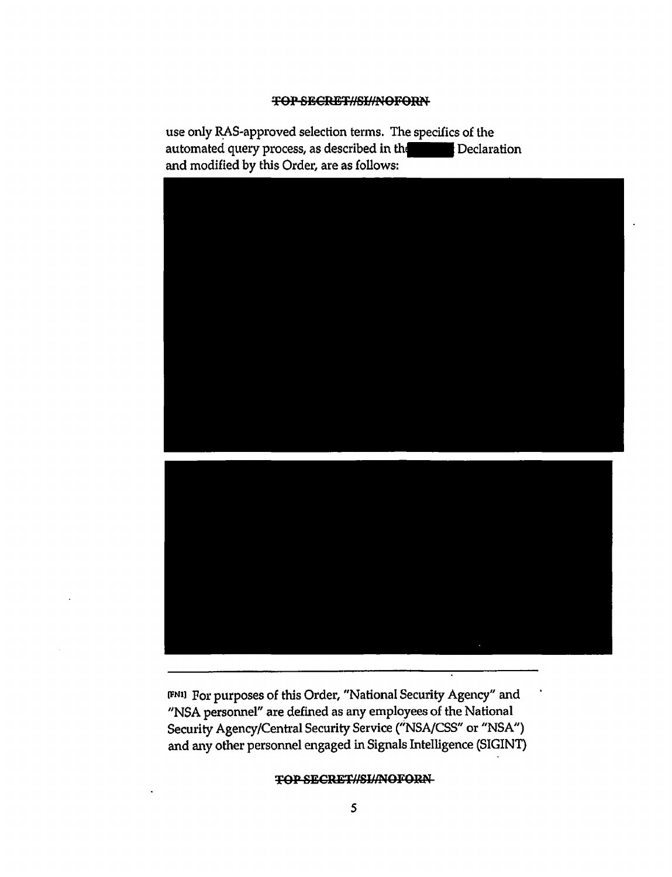## **TOP SBCRETNSl//NOFORN**

use only RAS-approved selection terms. The specifics of the automated query process, as described in the Declaration and modified by this Order, are as follows:



(FN1J For purposes of this Order, "National Security Agency" and "NSA personnel" are defined as any employees of the National Security Agency/Central Security Service ("NSA/CSS" or "NSA") and any other personnel engaged in Signals Intelligence (SIGINT)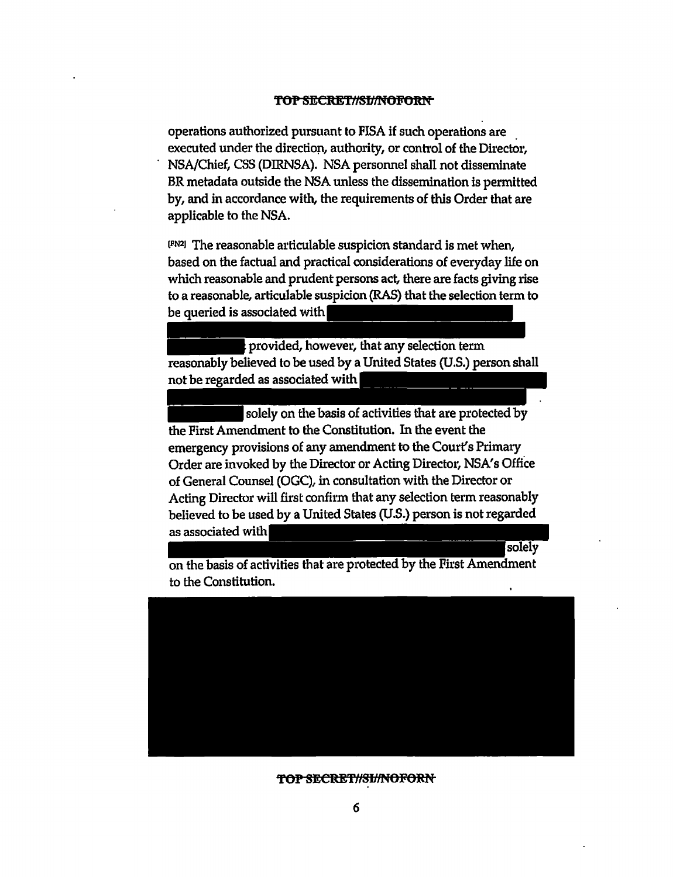operations authorized pursuant to FISA if such operations are . executed under the direction, authority, or control of the Director, NSA/Chief, CSS (DIRNSA). NSA personnel shall not disseminate BR metadata outside the NSA unless the dissemination is permitted by, and in accordance with, the requirements of this Order that are applicable to the NSA.

£FN2J The reasonable articulable suspicion standard is met when, based on the factual and practical considerations of everyday life on which reasonable and prudent persons act, there are facts giving rise to a reasonable, articulable suspicion (RAS) that the selection term to be queried is associated with

provided, however, that any selection term reasonably believed to be used by a United States (U.S.) person shall not be regarded as associated with

solely on the basis of activities that are protected by the First Amendment to the Constitution. In the event the emergency provisions of any amendment to the Court's Primary Order are invoked by the Director or Acting Director, NSA's Office of General Counsel (OGC), in consultation with the Director or Acting Director will first confirm that any selection term reasonably believed to be used by a United States (U.S.) person is not regarded as associated with

on the basis of activities that are protected by the First Amendment to the Constitution.

solely

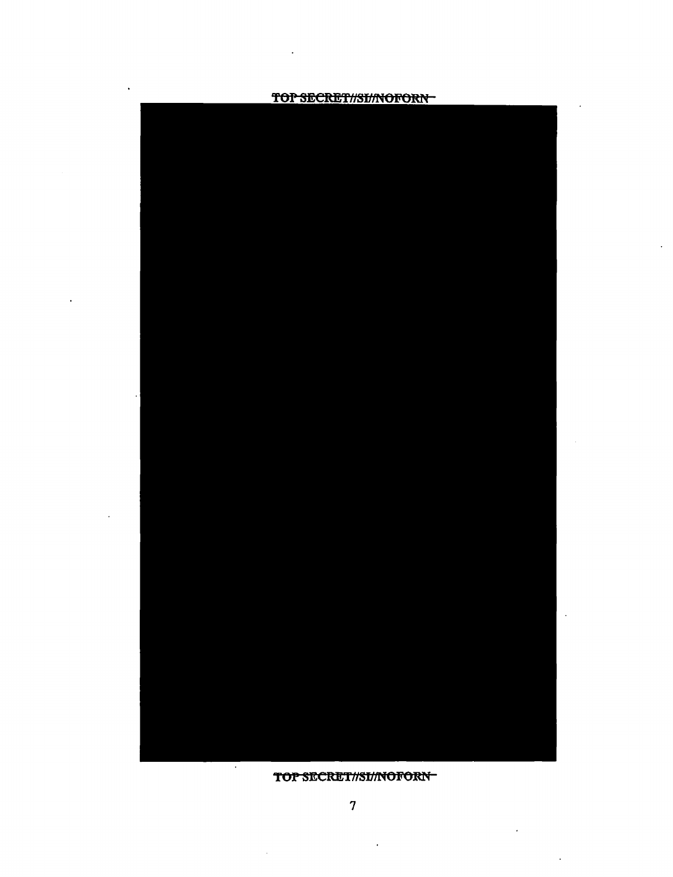

 $\bar{z}$ 

 $\overline{a}$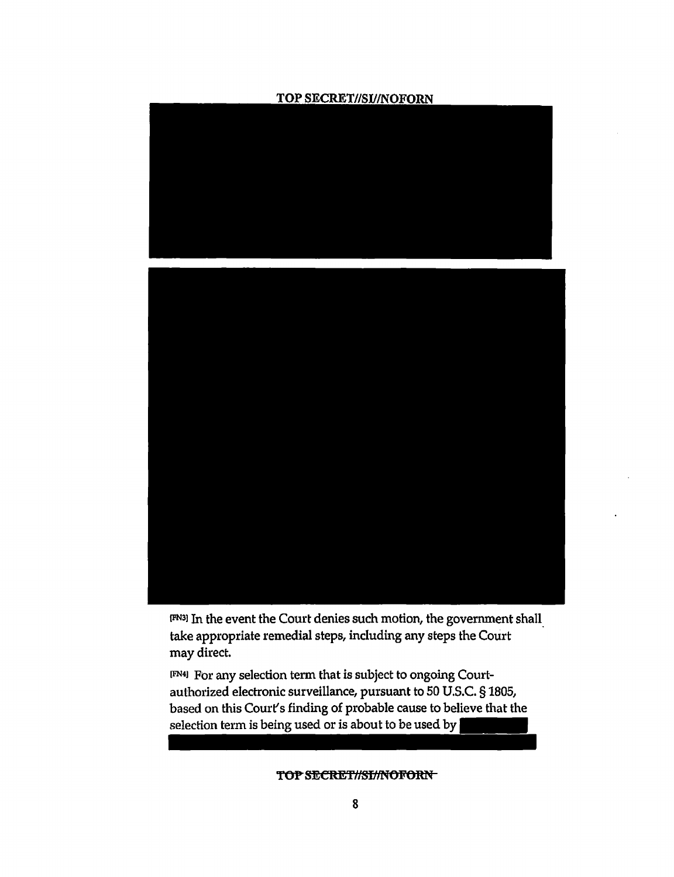



fFN3J In the event the Court denies such motion, the government shall. take appropriate remedial steps, including any steps the Court may direct.

IFN4J For any selection term that is subject to ongoing Courtauthorized electronic surveillance, pursuant to 50 U.S.C. § 1805, based on this Court's finding of probable cause to believe that the selection term is being used or is about to be used by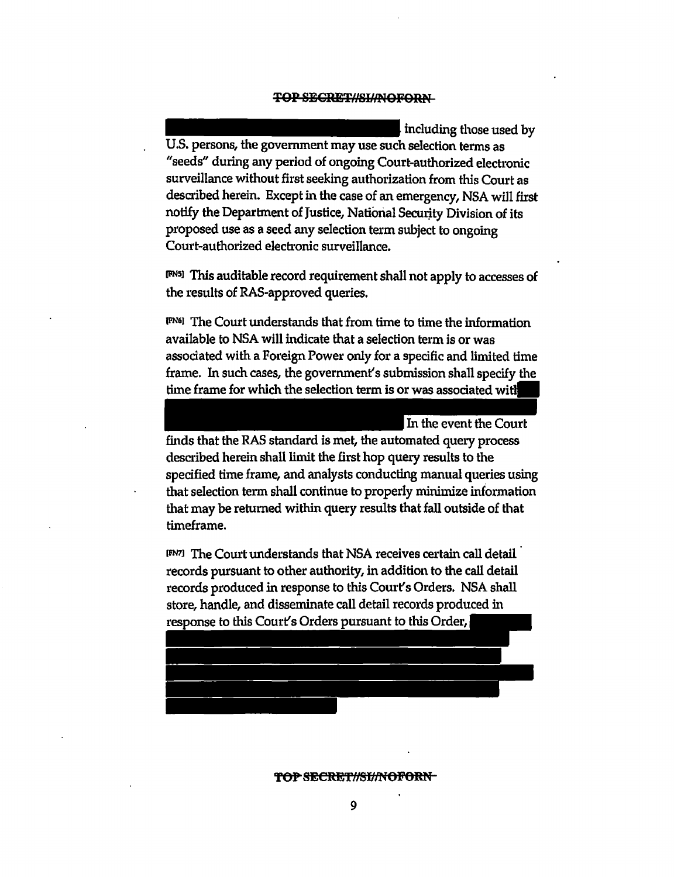including those used by U.S. persons, the government may use such selection terms as "seeds" during any period of ongoing Court-authorized electronic surveillance without first seeking authorization from this Court as described herein. Except in the case of an emergency, NSA will first notify the Department of Justice, National Security Division of its proposed use as a seed any selection term subject to ongoing Com't-authorized electronic surveillance.

lPN5J This auditable record requirement shall not apply to accesses of the results of RAS-approved queries.

tFN6 1 The Court understands that from time to time the information available to NSA will indicate that a selection term is or was associated with a Foreign Power only for a specific and limited time frame. In such cases, the government's submission shall specify the time frame for which the selection term is or was associated with

In the event the Court finds that the RAS standard is met, the automated query process described herein shall limit the first hop query results to the specified time frame, and analysts conducting manual queries using that selection term shall continue to properly minimize information that may be returned within query results that fall outside of that timeframe.

lPN7J The Court understands that NSA receives certain call detail records pursuant to other authority, in addition to the call detail records produced in response to this Court's Orders. NSA shall store, handle, and disseminate call detail records produced in response to this Court's Orders pursuant to this Order,

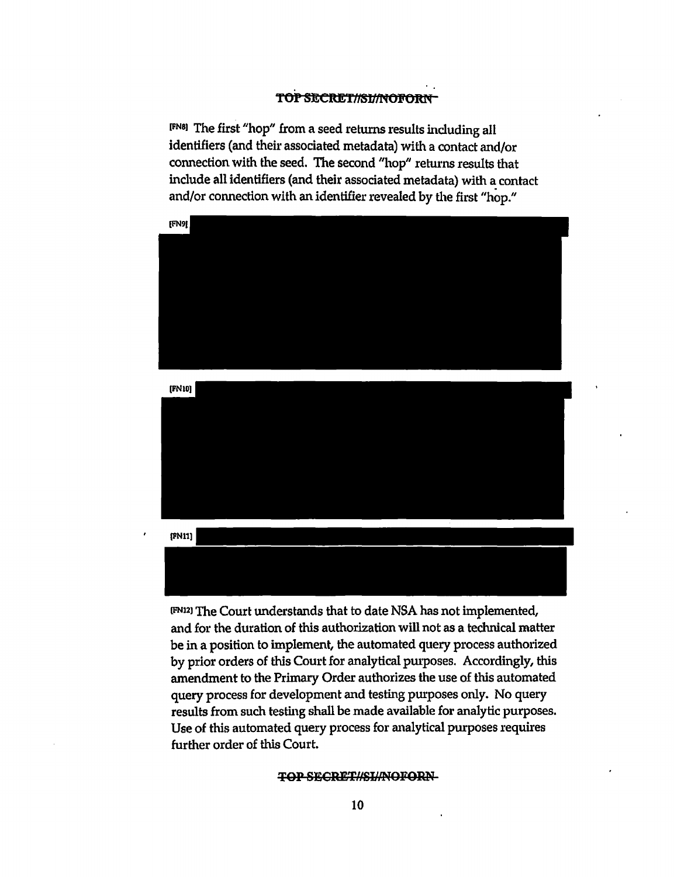IFNBJ The first "hop" from a seed returns results including all identifiers (and their associated metadata) with a contact and/or connection with the seed. The second "hop" returns results that include all identifiers (and their associated metadata) with a contact and/or connection with an identifier revealed by the first "hop."



lFN12J The Court understands that to date NSA has not implemented, and for the duration of this authorization will not as a technical matter be in a position to implement, the automated query process authorized by prior orders of this Court for analytical purposes. Accordingly, this amendment to the Primary Order authorizes the use of this automated query process for development and testing purposes only. No query results from such testing shall be made available for analytic purposes. Use of this automated query process for analytical purposes requires further order of this Court.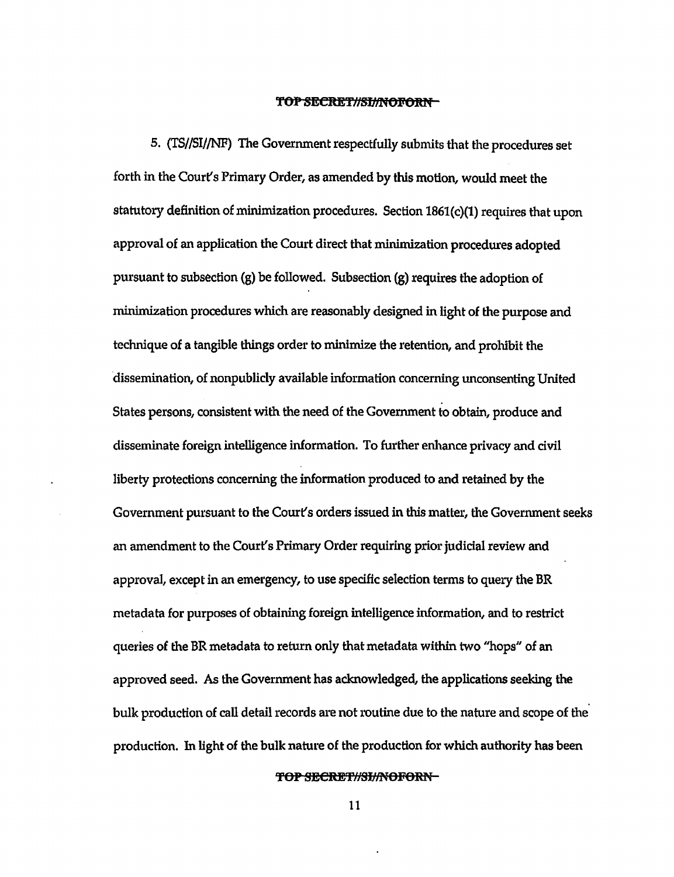5. (TS//Sl//NF) The Government respectfully submits that the procedures set forth in the Court's Primary Order, as amended by this motion, would meet the statutory definition of minimization procedures. Section 1861(c)(1) requires that upon approval of an application the Court direct that minimization procedures adopted pursuant to subsection (g) be followed. Subsection (g) requires the adoption of minimization procedures which are reasonably designed in light of the purpose and technique of a tangible things order to minimize the retention, and prohibit the ·dissemination, of nonpublicly available information concerning unconsenting United States persons, consistent with the need of the Government to obtain, produce and disseminate foreign intelligence information. To further enhance privacy and civil liberty protections concerning the information produced to and retained by the Government pursuant to the Court's orders issued in this matter, the Government seeks an amendment to the Court's Primary Order requiring prior judicial review and approval, except in an emergency, to use specific selection terms to query the BR metadata for purposes of obtaining foreign intelligence information, and to restrict queries of the BR metadata to return only that metadata within two "hops" of an approved seed. As the Government has acknowledged, the applications seeking the bulk production of call detail records are not routine due to the nature and scope of the. production. In light of the bulk nature of the production for which authority has been

#### TOP SECRET//SI//NOFORN-

11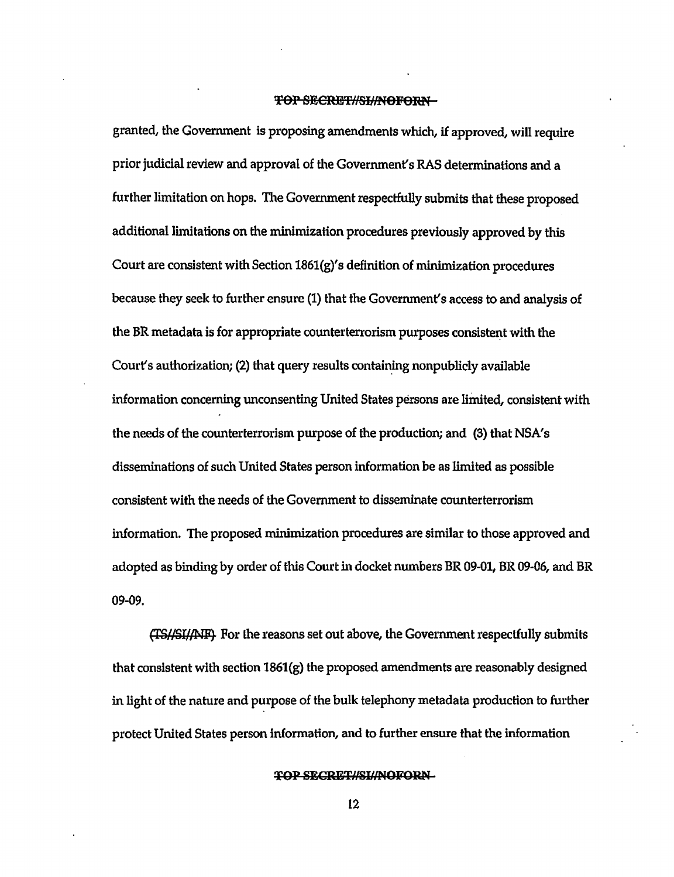#### TOP SECRET#SI#NOFORN-

granted, the Government is proposing amendments which, if approved, will require prior judicial review and approval of the Government's RAS determinations and a further limitation on hops. The Government respectfully submits that these proposed additional limitations on the minimization procedures previously approved by this Court are consistent with Section  $1861(g)'$ s definition of minimization procedures because they seek to further ensure (1) that the Government's access to and analysis of the BR metadata is for appropriate counterterrorism purposes consistent with the Court's authorization; (2) that query results containing nonpublicly available information concerning unconsenting United States persons are limited, consistent with the needs of the counterterrorism purpose of the production; and (3) that NSA's disseminations of such United States person information be as limited as possible consistent with the needs of the Government to disseminate counterterrorism information. The proposed minimization procedures are similar to those approved and adopted as binding by order of this Court in docket numbers BR 09-01, BR 09-06, and BR 09-09.

(TS//SI//NFI) For the reasons set out above, the Government respectfully submits that consistent with section 1861(g) the proposed amendments are reasonably designed in light of the nature and purpose of the bulk telephony metadata production to further protect United States person information, and to further ensure that the information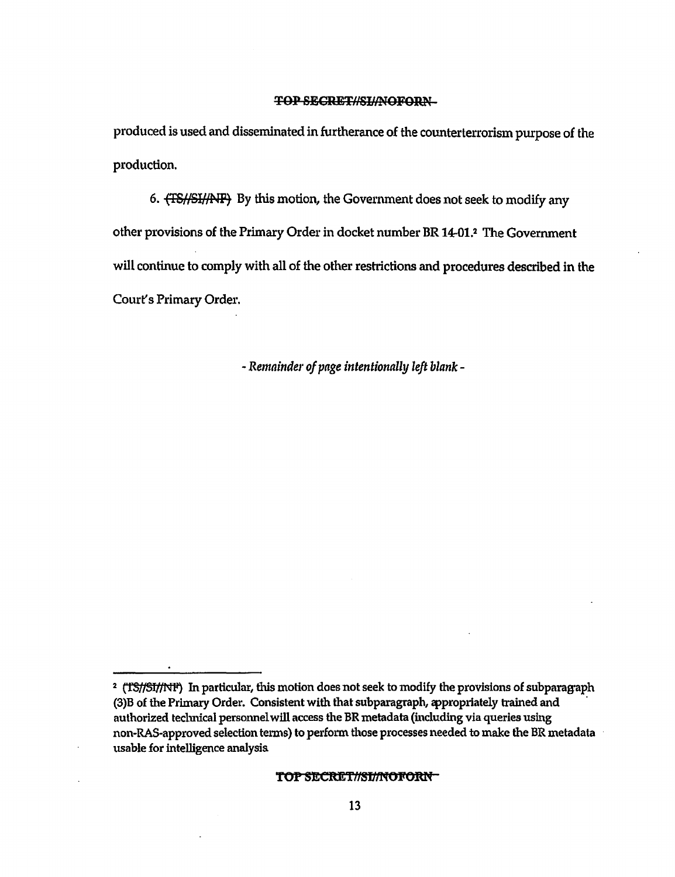produced is used and disseminated in furtherance of the counterterrorism purpose of the production.

6. (TS//SI//NF) By this motion, the Government does not seek to modify any other provisions of the Primary Order in docket number BR 14-01.2 The Government will continue to comply with all of the other restrictions and procedures described in the Court's Primary Order.

- *Remaindel' of page intentionally left blank* -

<sup>&</sup>lt;sup>2</sup> (TS//SI//NF) In particular, this motion does not seek to modify the provisions of subparagaph (3)B of the Primary Order. Consistent with that subparagraph, appropriately trained and authorized technical personnel will access the BR metadata (including via queries using non-RAS-approved selection terms) to perform those processes needed to make the BR metadata usable for intelligence analysis.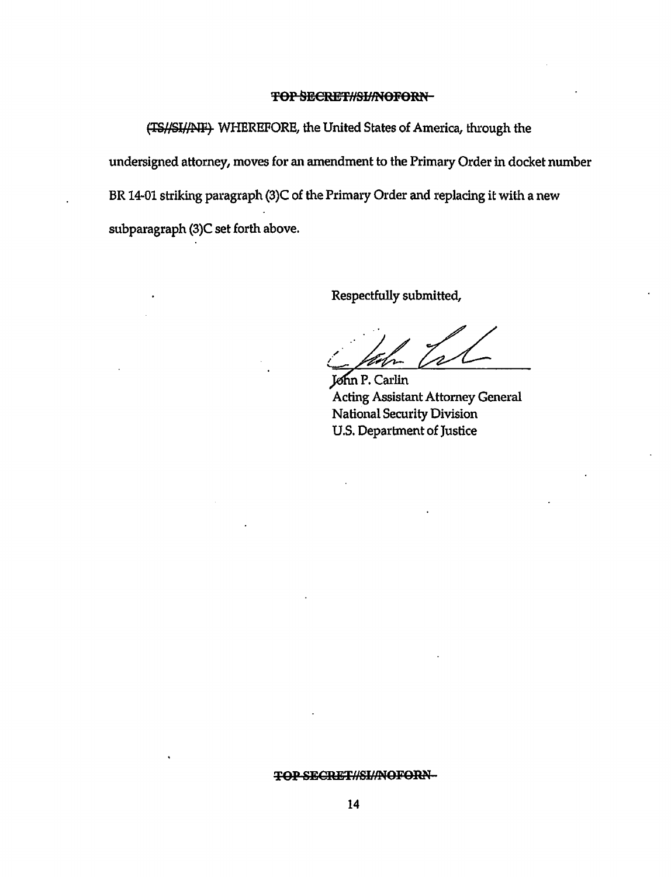## TOP SECRET#SL#NOFORN-

(TS//SI//NF) WHEREFORE, the United States of America, through the undersigned attorney, moves for an amendment to the Primary Order in docket number BR 14-01 striking paragraph (3)C of the Primary Order and replacing it with a new subparagraph (3)C set forth above.

Respectfully submitted,

John P. Carlin Acting Assistant Attorney General National Security Division U.S. Department of Justice